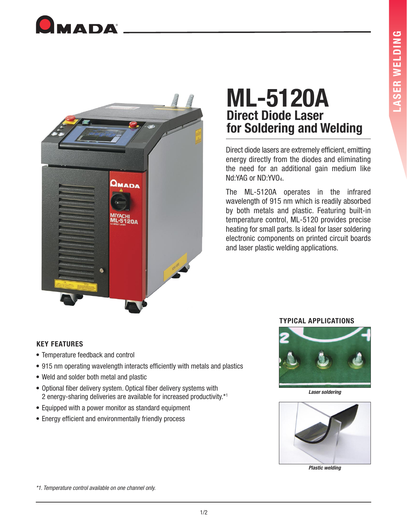



# **ML-5120A Direct Diode Laser for Soldering and Welding**

Direct diode lasers are extremely efficient, emitting energy directly from the diodes and eliminating the need for an additional gain medium like Nd:YAG or ND:YVO<sub>4</sub>.

The ML-5120A operates in the infrared wavelength of 915 nm which is readily absorbed by both metals and plastic. Featuring built-in temperature control, ML-5120 provides precise heating for small parts. Is ideal for laser soldering electronic components on printed circuit boards and laser plastic welding applications.

## **KEY FEATURES**

- Temperature feedback and control
- 915 nm operating wavelength interacts efficiently with metals and plastics
- Weld and solder both metal and plastic
- Optional fiber delivery system. Optical fiber delivery systems with 2 energy-sharing deliveries are available for increased productivity.\*1
- Equipped with a power monitor as standard equipment
- Energy efficient and environmentally friendly process





**Laser soldering**



**Plastic welding**

\*1. Temperature control available on one channel only.